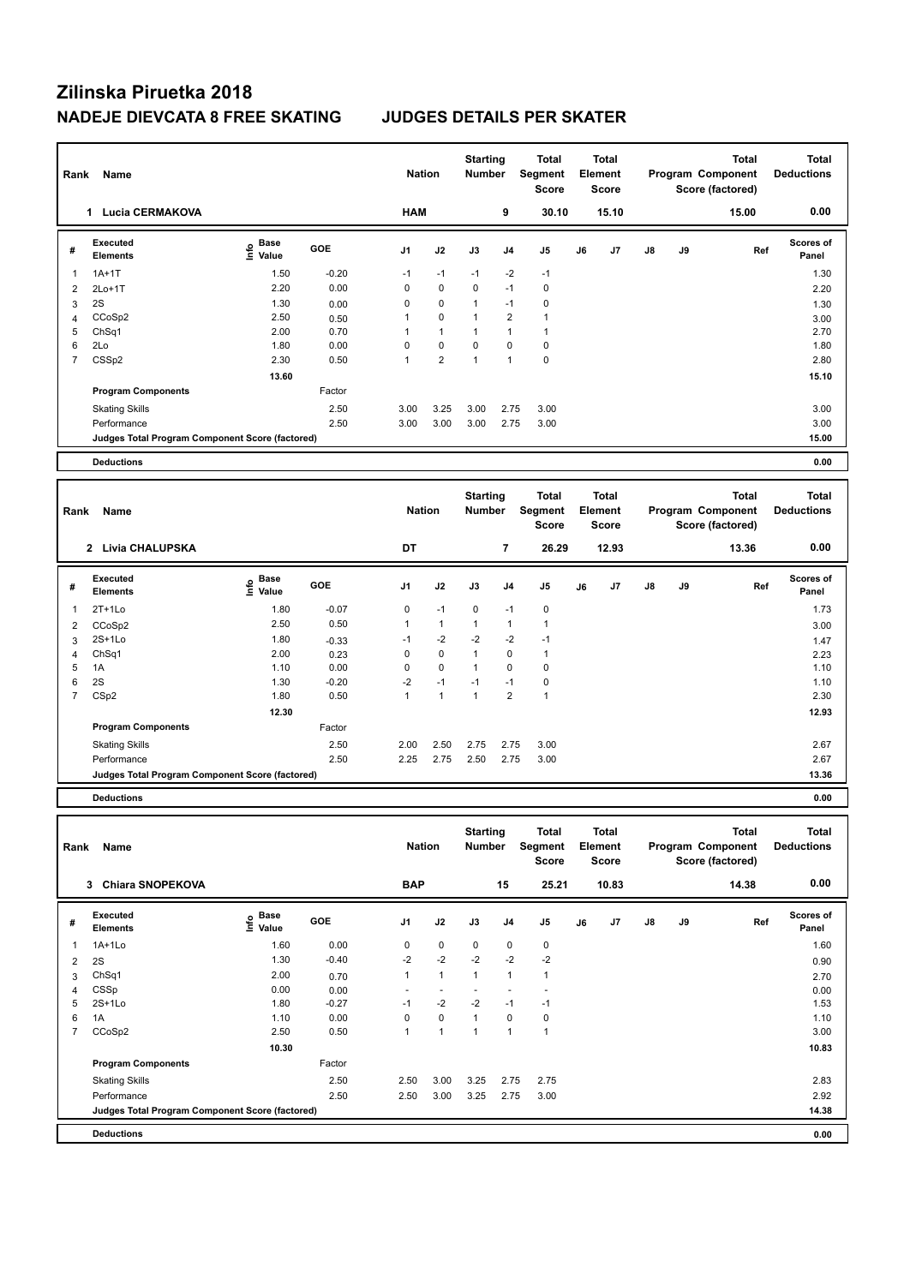| Rank                | Name                                            |                                           |              | <b>Nation</b>  |                | <b>Starting</b><br><b>Number</b> |                | <b>Total</b><br>Segment<br><b>Score</b> |    | <b>Total</b><br>Element<br><b>Score</b> |    |    | <b>Total</b><br>Program Component<br>Score (factored) | <b>Total</b><br><b>Deductions</b> |
|---------------------|-------------------------------------------------|-------------------------------------------|--------------|----------------|----------------|----------------------------------|----------------|-----------------------------------------|----|-----------------------------------------|----|----|-------------------------------------------------------|-----------------------------------|
|                     | 1 Lucia CERMAKOVA                               |                                           |              | <b>HAM</b>     |                |                                  | 9              | 30.10                                   |    | 15.10                                   |    |    | 15.00                                                 | 0.00                              |
| #                   | <b>Executed</b><br><b>Elements</b>              | $\frac{e}{E}$ Base<br>$\frac{e}{E}$ Value | GOE          | J <sub>1</sub> | J2             | J3                               | J <sub>4</sub> | J <sub>5</sub>                          | J6 | J <sub>7</sub>                          | J8 | J9 | Ref                                                   | Scores of<br>Panel                |
| $\mathbf{1}$        | $1A+1T$                                         | 1.50                                      | $-0.20$      | $-1$           | $-1$           | $-1$                             | $-2$           | $-1$                                    |    |                                         |    |    |                                                       | 1.30                              |
| $\overline{2}$      | $2Lo+1T$                                        | 2.20                                      | 0.00         | $\mathbf 0$    | 0              | 0                                | $-1$           | $\mathbf 0$                             |    |                                         |    |    |                                                       | 2.20                              |
| 3                   | 2S                                              | 1.30                                      | 0.00         | $\mathbf 0$    | 0              | $\mathbf{1}$                     | $-1$           | $\mathbf 0$                             |    |                                         |    |    |                                                       | 1.30                              |
| $\overline{4}$      | CCoSp2                                          | 2.50                                      | 0.50         | 1              | 0              | $\mathbf{1}$                     | $\overline{2}$ | $\mathbf{1}$                            |    |                                         |    |    |                                                       | 3.00                              |
| 5                   | ChSq1                                           | 2.00                                      | 0.70         | $\mathbf{1}$   | $\mathbf{1}$   | $\mathbf{1}$                     | $\mathbf{1}$   | $\mathbf{1}$                            |    |                                         |    |    |                                                       | 2.70                              |
| 6                   | 2Lo                                             | 1.80                                      | 0.00         | $\mathbf 0$    | 0              | 0                                | $\mathbf 0$    | $\mathbf 0$                             |    |                                         |    |    |                                                       | 1.80                              |
| $\overline{7}$      | CSS <sub>p2</sub>                               | 2.30                                      | 0.50         | $\mathbf{1}$   | $\overline{2}$ | $\mathbf{1}$                     | $\mathbf{1}$   | $\mathbf 0$                             |    |                                         |    |    |                                                       | 2.80                              |
|                     |                                                 | 13.60                                     |              |                |                |                                  |                |                                         |    |                                         |    |    |                                                       | 15.10                             |
|                     | <b>Program Components</b>                       |                                           | Factor       |                |                |                                  |                |                                         |    |                                         |    |    |                                                       |                                   |
|                     | <b>Skating Skills</b>                           |                                           | 2.50         | 3.00           | 3.25           | 3.00                             | 2.75           | 3.00                                    |    |                                         |    |    |                                                       | 3.00                              |
|                     | Performance                                     |                                           | 2.50         | 3.00           | 3.00           | 3.00                             | 2.75           | 3.00                                    |    |                                         |    |    |                                                       | 3.00                              |
|                     | Judges Total Program Component Score (factored) |                                           |              |                |                |                                  |                |                                         |    |                                         |    |    |                                                       | 15.00                             |
|                     |                                                 |                                           |              |                |                |                                  |                |                                         |    |                                         |    |    |                                                       |                                   |
|                     | <b>Deductions</b>                               |                                           |              |                |                |                                  |                |                                         |    |                                         |    |    |                                                       | 0.00                              |
| Rank                | Name                                            |                                           |              | <b>Nation</b>  |                | <b>Starting</b><br><b>Number</b> |                | <b>Total</b><br>Segment                 |    | <b>Total</b>                            |    |    | <b>Total</b>                                          | <b>Total</b>                      |
|                     |                                                 |                                           |              |                |                |                                  |                | Score                                   |    | Element<br><b>Score</b>                 |    |    | Program Component<br>Score (factored)                 | <b>Deductions</b>                 |
|                     | 2 Livia CHALUPSKA                               |                                           |              | DT             |                |                                  | $\overline{7}$ | 26.29                                   |    | 12.93                                   |    |    | 13.36                                                 | 0.00                              |
| #                   | <b>Executed</b><br><b>Elements</b>              | e Base<br>E Value                         | GOE          | J <sub>1</sub> | J2             | J3                               | J <sub>4</sub> | J <sub>5</sub>                          | J6 | J7                                      | J8 | J9 | Ref                                                   | Scores of<br>Panel                |
| $\mathbf{1}$        | $2T+1Lo$                                        | 1.80                                      | $-0.07$      | 0              | $-1$           | 0                                | $-1$           | $\mathbf 0$                             |    |                                         |    |    |                                                       | 1.73                              |
|                     |                                                 | 2.50                                      | 0.50         | $\mathbf{1}$   | $\mathbf{1}$   | $\mathbf{1}$                     | $\mathbf{1}$   | $\overline{1}$                          |    |                                         |    |    |                                                       |                                   |
| $\overline{2}$      | CCoSp2<br>$2S+1Lo$                              | 1.80                                      |              | $-1$           | $-2$           | $-2$                             | $-2$           | $-1$                                    |    |                                         |    |    |                                                       | 3.00                              |
| 3<br>$\overline{4}$ |                                                 | 2.00                                      | $-0.33$      | $\mathbf 0$    | 0              | $\mathbf{1}$                     | $\mathbf 0$    | $\mathbf{1}$                            |    |                                         |    |    |                                                       | 1.47                              |
| 5                   | ChSq1<br>1A                                     | 1.10                                      | 0.23<br>0.00 | $\mathbf 0$    | $\mathbf 0$    | $\mathbf{1}$                     | $\mathbf 0$    | $\mathbf 0$                             |    |                                         |    |    |                                                       | 2.23<br>1.10                      |
| 6                   | 2S                                              | 1.30                                      | $-0.20$      | $-2$           | $-1$           | $-1$                             | $-1$           | $\mathbf 0$                             |    |                                         |    |    |                                                       | 1.10                              |
| $\overline{7}$      | CSp2                                            | 1.80                                      | 0.50         | $\mathbf{1}$   | $\mathbf{1}$   | $\mathbf{1}$                     | $\overline{2}$ | $\overline{1}$                          |    |                                         |    |    |                                                       | 2.30                              |
|                     |                                                 | 12.30                                     |              |                |                |                                  |                |                                         |    |                                         |    |    |                                                       | 12.93                             |
|                     | <b>Program Components</b>                       |                                           | Factor       |                |                |                                  |                |                                         |    |                                         |    |    |                                                       |                                   |
|                     |                                                 |                                           | 2.50         | 2.00           | 2.50           | 2.75                             | 2.75           | 3.00                                    |    |                                         |    |    |                                                       | 2.67                              |
|                     | <b>Skating Skills</b><br>Performance            |                                           | 2.50         | 2.25           | 2.75           | 2.50                             | 2.75           | 3.00                                    |    |                                         |    |    |                                                       | 2.67                              |

**Deductions 0.00**

| Rank           | Name                                            |                                    |         | <b>Nation</b>  |                | <b>Starting</b><br><b>Number</b> |                | <b>Total</b><br>Segment<br><b>Score</b> |    | <b>Total</b><br>Element<br><b>Score</b> |               |    | Total<br>Program Component<br>Score (factored) | Total<br><b>Deductions</b> |
|----------------|-------------------------------------------------|------------------------------------|---------|----------------|----------------|----------------------------------|----------------|-----------------------------------------|----|-----------------------------------------|---------------|----|------------------------------------------------|----------------------------|
|                | <b>Chiara SNOPEKOVA</b><br>3                    |                                    |         | <b>BAP</b>     |                |                                  | 15             | 25.21                                   |    | 10.83                                   |               |    | 14.38                                          | 0.00                       |
| #              | Executed<br><b>Elements</b>                     | <b>Base</b><br>$\frac{6}{5}$ Value | GOE     | J <sub>1</sub> | J2             | J3                               | J <sub>4</sub> | J <sub>5</sub>                          | J6 | J7                                      | $\mathsf{J}8$ | J9 | Ref                                            | <b>Scores of</b><br>Panel  |
|                | $1A+1Lo$                                        | 1.60                               | 0.00    | 0              | $\mathbf 0$    | $\mathbf 0$                      | $\mathbf 0$    | $\pmb{0}$                               |    |                                         |               |    |                                                | 1.60                       |
| 2              | 2S                                              | 1.30                               | $-0.40$ | $-2$           | $-2$           | $-2$                             | $-2$           | $-2$                                    |    |                                         |               |    |                                                | 0.90                       |
| 3              | ChSq1                                           | 2.00                               | 0.70    | 1              | $\overline{1}$ | $\overline{1}$                   | $\overline{1}$ | 1                                       |    |                                         |               |    |                                                | 2.70                       |
| 4              | CSSp                                            | 0.00                               | 0.00    | ۰              |                |                                  |                |                                         |    |                                         |               |    |                                                | 0.00                       |
| 5              | $2S+1Lo$                                        | 1.80                               | $-0.27$ | $-1$           | $-2$           | $-2$                             | $-1$           | $-1$                                    |    |                                         |               |    |                                                | 1.53                       |
| 6              | 1A                                              | 1.10                               | 0.00    | 0              | $\mathbf 0$    | $\overline{1}$                   | 0              | 0                                       |    |                                         |               |    |                                                | 1.10                       |
| $\overline{7}$ | CCoSp2                                          | 2.50                               | 0.50    | 1              | $\overline{1}$ | $\overline{1}$                   | $\overline{1}$ | 1                                       |    |                                         |               |    |                                                | 3.00                       |
|                |                                                 | 10.30                              |         |                |                |                                  |                |                                         |    |                                         |               |    |                                                | 10.83                      |
|                | <b>Program Components</b>                       |                                    | Factor  |                |                |                                  |                |                                         |    |                                         |               |    |                                                |                            |
|                | <b>Skating Skills</b>                           |                                    | 2.50    | 2.50           | 3.00           | 3.25                             | 2.75           | 2.75                                    |    |                                         |               |    |                                                | 2.83                       |
|                | Performance                                     |                                    | 2.50    | 2.50           | 3.00           | 3.25                             | 2.75           | 3.00                                    |    |                                         |               |    |                                                | 2.92                       |
|                | Judges Total Program Component Score (factored) |                                    |         |                |                |                                  |                |                                         |    |                                         |               |    |                                                | 14.38                      |
|                | <b>Deductions</b>                               |                                    |         |                |                |                                  |                |                                         |    |                                         |               |    |                                                | 0.00                       |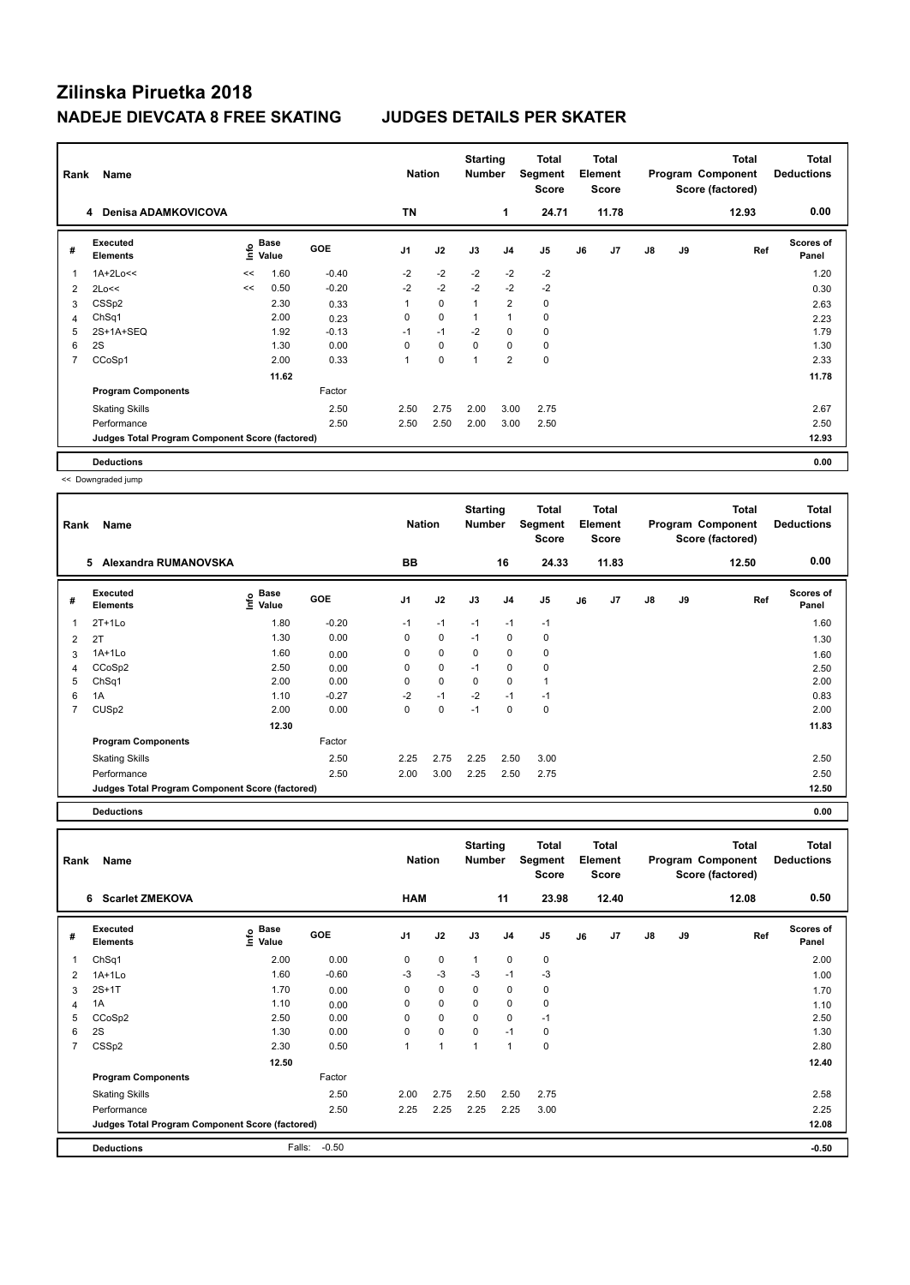| Rank           | Name                                            |      |                      |            | <b>Nation</b>  |             | <b>Starting</b><br><b>Number</b> |                | Total<br>Segment<br><b>Score</b> |    | Total<br>Element<br><b>Score</b> |               |    | <b>Total</b><br>Program Component<br>Score (factored) | Total<br><b>Deductions</b> |
|----------------|-------------------------------------------------|------|----------------------|------------|----------------|-------------|----------------------------------|----------------|----------------------------------|----|----------------------------------|---------------|----|-------------------------------------------------------|----------------------------|
|                | <b>Denisa ADAMKOVICOVA</b><br>4                 |      |                      |            | <b>TN</b>      |             |                                  | 1              | 24.71                            |    | 11.78                            |               |    | 12.93                                                 | 0.00                       |
| #              | Executed<br><b>Elements</b>                     | lnfo | <b>Base</b><br>Value | <b>GOE</b> | J <sub>1</sub> | J2          | J3                               | J <sub>4</sub> | J5                               | J6 | J7                               | $\mathsf{J}8$ | J9 | Ref                                                   | <b>Scores of</b><br>Panel  |
| 1              | $1A+2Lo<<$                                      | <<   | 1.60                 | $-0.40$    | $-2$           | $-2$        | $-2$                             | $-2$           | $-2$                             |    |                                  |               |    |                                                       | 1.20                       |
| 2              | 2Lo<<                                           | <<   | 0.50                 | $-0.20$    | $-2$           | $-2$        | $-2$                             | $-2$           | $-2$                             |    |                                  |               |    |                                                       | 0.30                       |
| 3              | CSS <sub>p2</sub>                               |      | 2.30                 | 0.33       | 1              | $\mathbf 0$ | $\overline{1}$                   | $\overline{2}$ | 0                                |    |                                  |               |    |                                                       | 2.63                       |
| 4              | ChSq1                                           |      | 2.00                 | 0.23       | 0              | 0           | -1                               | $\overline{1}$ | 0                                |    |                                  |               |    |                                                       | 2.23                       |
| 5              | 2S+1A+SEQ                                       |      | 1.92                 | $-0.13$    | $-1$           | $-1$        | $-2$                             | 0              | $\mathbf 0$                      |    |                                  |               |    |                                                       | 1.79                       |
| 6              | 2S                                              |      | 1.30                 | 0.00       | 0              | $\mathbf 0$ | 0                                | 0              | 0                                |    |                                  |               |    |                                                       | 1.30                       |
| $\overline{7}$ | CCoSp1                                          |      | 2.00                 | 0.33       |                | $\mathbf 0$ | 1                                | $\overline{2}$ | $\mathbf 0$                      |    |                                  |               |    |                                                       | 2.33                       |
|                |                                                 |      | 11.62                |            |                |             |                                  |                |                                  |    |                                  |               |    |                                                       | 11.78                      |
|                | <b>Program Components</b>                       |      |                      | Factor     |                |             |                                  |                |                                  |    |                                  |               |    |                                                       |                            |
|                | <b>Skating Skills</b>                           |      |                      | 2.50       | 2.50           | 2.75        | 2.00                             | 3.00           | 2.75                             |    |                                  |               |    |                                                       | 2.67                       |
|                | Performance                                     |      |                      | 2.50       | 2.50           | 2.50        | 2.00                             | 3.00           | 2.50                             |    |                                  |               |    |                                                       | 2.50                       |
|                | Judges Total Program Component Score (factored) |      |                      |            |                |             |                                  |                |                                  |    |                                  |               |    |                                                       | 12.93                      |
|                | <b>Deductions</b>                               |      |                      |            |                |             |                                  |                |                                  |    |                                  |               |    |                                                       | 0.00                       |

<< Downgraded jump

| Rank           | Name                                            |                                       |            | <b>Nation</b> |             | <b>Starting</b><br><b>Number</b> |                | Total<br>Segment<br><b>Score</b> |    | <b>Total</b><br>Element<br><b>Score</b> |    |    | <b>Total</b><br>Program Component<br>Score (factored) | <b>Total</b><br><b>Deductions</b> |
|----------------|-------------------------------------------------|---------------------------------------|------------|---------------|-------------|----------------------------------|----------------|----------------------------------|----|-----------------------------------------|----|----|-------------------------------------------------------|-----------------------------------|
|                | 5<br>Alexandra RUMANOVSKA                       |                                       |            | BB            |             |                                  | 16             | 24.33                            |    | 11.83                                   |    |    | 12.50                                                 | 0.00                              |
| #              | Executed<br><b>Elements</b>                     | $\overset{\circ}{\text{\sf E}}$ Value | <b>GOE</b> | J1            | J2          | J3                               | J <sub>4</sub> | J <sub>5</sub>                   | J6 | J7                                      | J8 | J9 | Ref                                                   | Scores of<br>Panel                |
| 1              | $2T+1Lo$                                        | 1.80                                  | $-0.20$    | $-1$          | $-1$        | $-1$                             | $-1$           | $-1$                             |    |                                         |    |    |                                                       | 1.60                              |
| 2              | 2T                                              | 1.30                                  | 0.00       | 0             | 0           | $-1$                             | 0              | 0                                |    |                                         |    |    |                                                       | 1.30                              |
| 3              | 1A+1Lo                                          | 1.60                                  | 0.00       | 0             | $\mathbf 0$ | $\mathbf 0$                      | 0              | 0                                |    |                                         |    |    |                                                       | 1.60                              |
| 4              | CCoSp2                                          | 2.50                                  | 0.00       | 0             | $\mathbf 0$ | $-1$                             | 0              | 0                                |    |                                         |    |    |                                                       | 2.50                              |
| 5              | ChSq1                                           | 2.00                                  | 0.00       | $\Omega$      | $\mathbf 0$ | $\mathbf 0$                      | $\mathbf 0$    |                                  |    |                                         |    |    |                                                       | 2.00                              |
| 6              | 1A                                              | 1.10                                  | $-0.27$    | $-2$          | $-1$        | $-2$                             | $-1$           | $-1$                             |    |                                         |    |    |                                                       | 0.83                              |
| $\overline{7}$ | CUS <sub>p2</sub>                               | 2.00                                  | 0.00       | 0             | 0           | $-1$                             | 0              | 0                                |    |                                         |    |    |                                                       | 2.00                              |
|                |                                                 | 12.30                                 |            |               |             |                                  |                |                                  |    |                                         |    |    |                                                       | 11.83                             |
|                | <b>Program Components</b>                       |                                       | Factor     |               |             |                                  |                |                                  |    |                                         |    |    |                                                       |                                   |
|                | <b>Skating Skills</b>                           |                                       | 2.50       | 2.25          | 2.75        | 2.25                             | 2.50           | 3.00                             |    |                                         |    |    |                                                       | 2.50                              |
|                | Performance                                     |                                       | 2.50       | 2.00          | 3.00        | 2.25                             | 2.50           | 2.75                             |    |                                         |    |    |                                                       | 2.50                              |
|                | Judges Total Program Component Score (factored) |                                       |            |               |             |                                  |                |                                  |    |                                         |    |    |                                                       | 12.50                             |
|                |                                                 |                                       |            |               |             |                                  |                |                                  |    |                                         |    |    |                                                       |                                   |

**Deductions 0.00**

**Total Deductions Total Program Component Score (factored) Total Element Segment Score Total Score Starting Rank Name Nation Number # Executed Elements Base Value GOE J1 J2 J3 J4 J5 J6 J7 J8 J9 Scores of Panel** 1 ChSq1 2.00 0.00 0 0 1 0 0 **Ref**  ChSq1 2.00 **Info 6 Scarlet ZMEKOVA HAM 11 23.98 12.40 12.08 0.50** 2 1A+1Lo 1.60 -0.60 -3 -3 -3 -1 -3 1.00  $3$  2S+1T  $1.70$   $0.00$   $0$   $0$   $0$   $0$   $0$   $0$   $0$   $1.70$ 4 1A 1.10 0.00 0 0 0 0 0 1.10 5 CCoSp2 2.50 0.00 0 0 0 0 -1 2.50 6 2S 1.30 0.00 0 0 0 -1 0 1.30 7 CSSp2 2.30 0.50 1 1 1 1 0 2.80  **12.50 12.40 Program Components**  Skating Skills 2.00 2.75 2.50 2.50 2.75 2.50 2.58 Factor Performance 2.50 2.25 2.25 2.25 2.25 3.00 2.25 **Deductions** Falls: -0.50 **-0.50 Judges Total Program Component Score (factored) 12.08**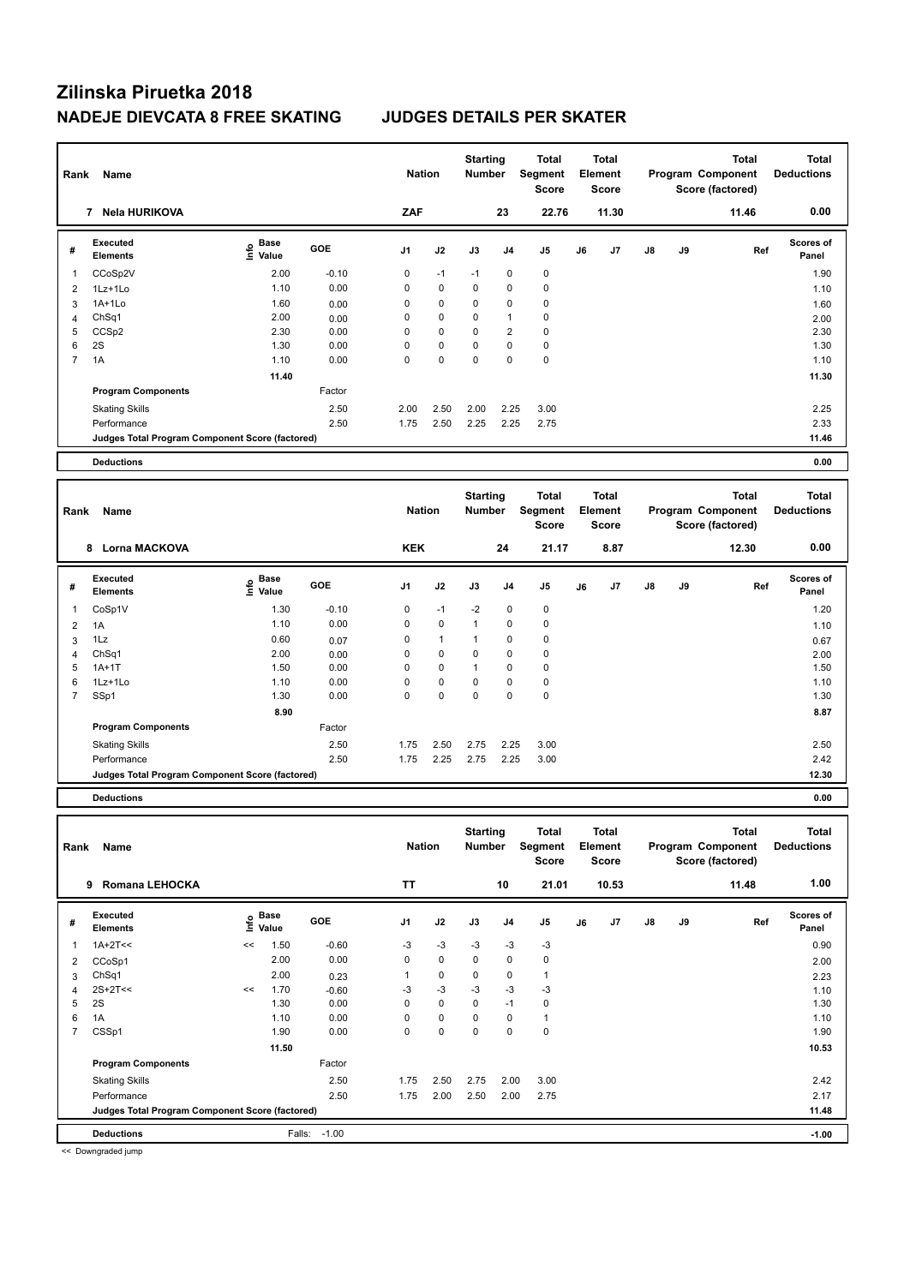| Rank           | Name                                            |                                  |         | <b>Nation</b>  |              | <b>Starting</b><br><b>Number</b> |                | <b>Total</b><br>Segment<br><b>Score</b>        | <b>Total</b><br>Element<br><b>Score</b> |       |    |    | <b>Total</b><br>Program Component<br>Score (factored) | <b>Total</b><br><b>Deductions</b> |
|----------------|-------------------------------------------------|----------------------------------|---------|----------------|--------------|----------------------------------|----------------|------------------------------------------------|-----------------------------------------|-------|----|----|-------------------------------------------------------|-----------------------------------|
|                | 7 Nela HURIKOVA                                 |                                  |         | ZAF            |              |                                  | 23             | 22.76                                          |                                         | 11.30 |    |    | 11.46                                                 | 0.00                              |
| #              | Executed<br><b>Elements</b>                     | <b>Base</b><br>e Base<br>⊆ Value | GOE     | J1             | J2           | J3                               | J <sub>4</sub> | J <sub>5</sub>                                 | J6                                      | J7    | J8 | J9 | Ref                                                   | Scores of<br>Panel                |
| $\overline{1}$ | CCoSp2V                                         | 2.00                             | $-0.10$ | $\mathbf 0$    | $-1$         | $-1$                             | 0              | $\pmb{0}$                                      |                                         |       |    |    |                                                       | 1.90                              |
| 2              | 1Lz+1Lo                                         | 1.10                             | 0.00    | $\mathbf 0$    | $\mathbf 0$  | 0                                | 0              | $\pmb{0}$                                      |                                         |       |    |    |                                                       | 1.10                              |
| 3              | $1A+1Lo$                                        | 1.60                             | 0.00    | $\mathbf 0$    | 0            | 0                                | 0              | $\pmb{0}$                                      |                                         |       |    |    |                                                       | 1.60                              |
| 4              | ChSq1                                           | 2.00                             | 0.00    | $\mathbf 0$    | 0            | 0                                | 1              | $\pmb{0}$                                      |                                         |       |    |    |                                                       | 2.00                              |
| 5              | CCS <sub>p2</sub>                               | 2.30                             | 0.00    | $\mathbf 0$    | $\mathbf 0$  | 0                                | $\overline{2}$ | $\pmb{0}$                                      |                                         |       |    |    |                                                       | 2.30                              |
| 6              | 2S                                              | 1.30                             | 0.00    | $\mathbf 0$    | $\mathbf 0$  | 0                                | 0              | $\pmb{0}$                                      |                                         |       |    |    |                                                       | 1.30                              |
| $\overline{7}$ | 1A                                              | 1.10                             | 0.00    | $\Omega$       | 0            | $\mathbf 0$                      | 0              | $\mathbf 0$                                    |                                         |       |    |    |                                                       | 1.10                              |
|                |                                                 | 11.40                            |         |                |              |                                  |                |                                                |                                         |       |    |    |                                                       | 11.30                             |
|                | <b>Program Components</b>                       |                                  | Factor  |                |              |                                  |                |                                                |                                         |       |    |    |                                                       |                                   |
|                | <b>Skating Skills</b>                           |                                  | 2.50    | 2.00           | 2.50         | 2.00                             | 2.25           | 3.00                                           |                                         |       |    |    |                                                       | 2.25                              |
|                | Performance                                     |                                  | 2.50    | 1.75           | 2.50         | 2.25                             | 2.25           | 2.75                                           |                                         |       |    |    |                                                       | 2.33                              |
|                | Judges Total Program Component Score (factored) |                                  |         |                |              |                                  |                |                                                |                                         |       |    |    |                                                       | 11.46                             |
|                |                                                 |                                  |         |                |              |                                  |                |                                                |                                         |       |    |    |                                                       |                                   |
|                | <b>Deductions</b>                               |                                  |         |                |              |                                  |                |                                                |                                         |       |    |    |                                                       | 0.00                              |
|                |                                                 |                                  |         |                |              |                                  |                |                                                |                                         |       |    |    |                                                       |                                   |
| Rank           | Name                                            |                                  |         | <b>Nation</b>  |              | <b>Starting</b><br><b>Number</b> |                | <b>Total</b><br><b>Segment</b><br><b>Score</b> | <b>Total</b><br>Element<br><b>Score</b> |       |    |    | <b>Total</b><br>Program Component<br>Score (factored) | Total<br><b>Deductions</b>        |
|                | 8 Lorna MACKOVA                                 |                                  |         | <b>KEK</b>     |              |                                  | 24             | 21.17                                          |                                         | 8.87  |    |    | 12.30                                                 | 0.00                              |
| #              | <b>Executed</b><br>Elements                     | e Base<br>E Value                | GOE     | J <sub>1</sub> | J2           | J3                               | J4             | J <sub>5</sub>                                 | J6                                      | J7    | J8 | J9 | Ref                                                   | Scores of<br>Panel                |
| 1              | CoSp1V                                          | 1.30                             | $-0.10$ | 0              | $-1$         | $-2$                             | 0              | $\pmb{0}$                                      |                                         |       |    |    |                                                       | 1.20                              |
| 2              | 1A                                              | 1.10                             | 0.00    | $\mathbf 0$    | $\mathbf 0$  | $\mathbf{1}$                     | 0              | $\mathbf 0$                                    |                                         |       |    |    |                                                       | 1.10                              |
| 3              | 1Lz                                             | 0.60                             | 0.07    | 0              | $\mathbf{1}$ | $\mathbf{1}$                     | 0              | $\pmb{0}$                                      |                                         |       |    |    |                                                       | 0.67                              |
| $\overline{4}$ | ChSq1                                           | 2.00                             | 0.00    | $\Omega$       | 0            | $\Omega$                         | 0              | $\mathbf 0$                                    |                                         |       |    |    |                                                       | 2.00                              |
| 5              | $1A+1T$                                         | 1.50                             | 0.00    | 0              | 0            | $\mathbf{1}$                     | 0              | $\mathbf 0$                                    |                                         |       |    |    |                                                       | 1.50                              |
| 6              | 1Lz+1Lo                                         | 1.10                             | 0.00    | $\mathbf 0$    | 0            | 0                                | 0              | $\pmb{0}$                                      |                                         |       |    |    |                                                       | 1.10                              |
| $\overline{7}$ | SSp1                                            | 1.30                             | 0.00    | $\mathbf 0$    | 0            | 0                                | 0              | $\pmb{0}$                                      |                                         |       |    |    |                                                       | 1.30                              |
|                |                                                 | 8.90                             |         |                |              |                                  |                |                                                |                                         |       |    |    |                                                       | 8.87                              |

Performance 2.50 1.75 2.25 2.75 2.25 3.00 2.42 **Judges Total Program Component Score (factored) 12.30**

**Deductions 0.00**

| Rank           | Name                                            |    |                      |         | <b>Nation</b>  |             | <b>Starting</b><br>Number |                | <b>Total</b><br>Segment<br><b>Score</b> |    | <b>Total</b><br>Element<br><b>Score</b> |               |    | <b>Total</b><br>Program Component<br>Score (factored) | Total<br><b>Deductions</b> |
|----------------|-------------------------------------------------|----|----------------------|---------|----------------|-------------|---------------------------|----------------|-----------------------------------------|----|-----------------------------------------|---------------|----|-------------------------------------------------------|----------------------------|
|                | Romana LEHOCKA<br>9                             |    |                      |         | <b>TT</b>      |             |                           | 10             | 21.01                                   |    | 10.53                                   |               |    | 11.48                                                 | 1.00                       |
| #              | Executed<br><b>Elements</b>                     | ۴  | <b>Base</b><br>Value | GOE     | J <sub>1</sub> | J2          | J3                        | J <sub>4</sub> | J <sub>5</sub>                          | J6 | J <sub>7</sub>                          | $\mathsf{J}8$ | J9 | Ref                                                   | <b>Scores of</b><br>Panel  |
|                | $1A+2T<<$                                       | << | 1.50                 | $-0.60$ | $-3$           | $-3$        | $-3$                      | $-3$           | $-3$                                    |    |                                         |               |    |                                                       | 0.90                       |
| 2              | CCoSp1                                          |    | 2.00                 | 0.00    | $\Omega$       | $\Omega$    | $\Omega$                  | $\mathbf 0$    | 0                                       |    |                                         |               |    |                                                       | 2.00                       |
| 3              | ChSq1                                           |    | 2.00                 | 0.23    |                | $\mathbf 0$ | 0                         | 0              | 1                                       |    |                                         |               |    |                                                       | 2.23                       |
| 4              | $2S+2T<<$                                       | << | 1.70                 | $-0.60$ | $-3$           | $-3$        | $-3$                      | $-3$           | $-3$                                    |    |                                         |               |    |                                                       | 1.10                       |
| 5              | 2S                                              |    | 1.30                 | 0.00    | 0              | 0           | 0                         | $-1$           | 0                                       |    |                                         |               |    |                                                       | 1.30                       |
| 6              | 1A                                              |    | 1.10                 | 0.00    | $\Omega$       | $\mathbf 0$ | $\Omega$                  | $\mathbf 0$    |                                         |    |                                         |               |    |                                                       | 1.10                       |
| $\overline{7}$ | CSSp1                                           |    | 1.90                 | 0.00    | 0              | $\mathbf 0$ | 0                         | $\mathbf 0$    | 0                                       |    |                                         |               |    |                                                       | 1.90                       |
|                |                                                 |    | 11.50                |         |                |             |                           |                |                                         |    |                                         |               |    |                                                       | 10.53                      |
|                | <b>Program Components</b>                       |    |                      | Factor  |                |             |                           |                |                                         |    |                                         |               |    |                                                       |                            |
|                | <b>Skating Skills</b>                           |    |                      | 2.50    | 1.75           | 2.50        | 2.75                      | 2.00           | 3.00                                    |    |                                         |               |    |                                                       | 2.42                       |
|                | Performance                                     |    |                      | 2.50    | 1.75           | 2.00        | 2.50                      | 2.00           | 2.75                                    |    |                                         |               |    |                                                       | 2.17                       |
|                | Judges Total Program Component Score (factored) |    |                      |         |                |             |                           |                |                                         |    |                                         |               |    |                                                       | 11.48                      |
|                | <b>Deductions</b>                               |    | Falls:               | $-1.00$ |                |             |                           |                |                                         |    |                                         |               |    |                                                       | $-1.00$                    |

Skating Skills 1.75 2.50 2.75 2.25 3.00 2.50 2.50

<< Downgraded jump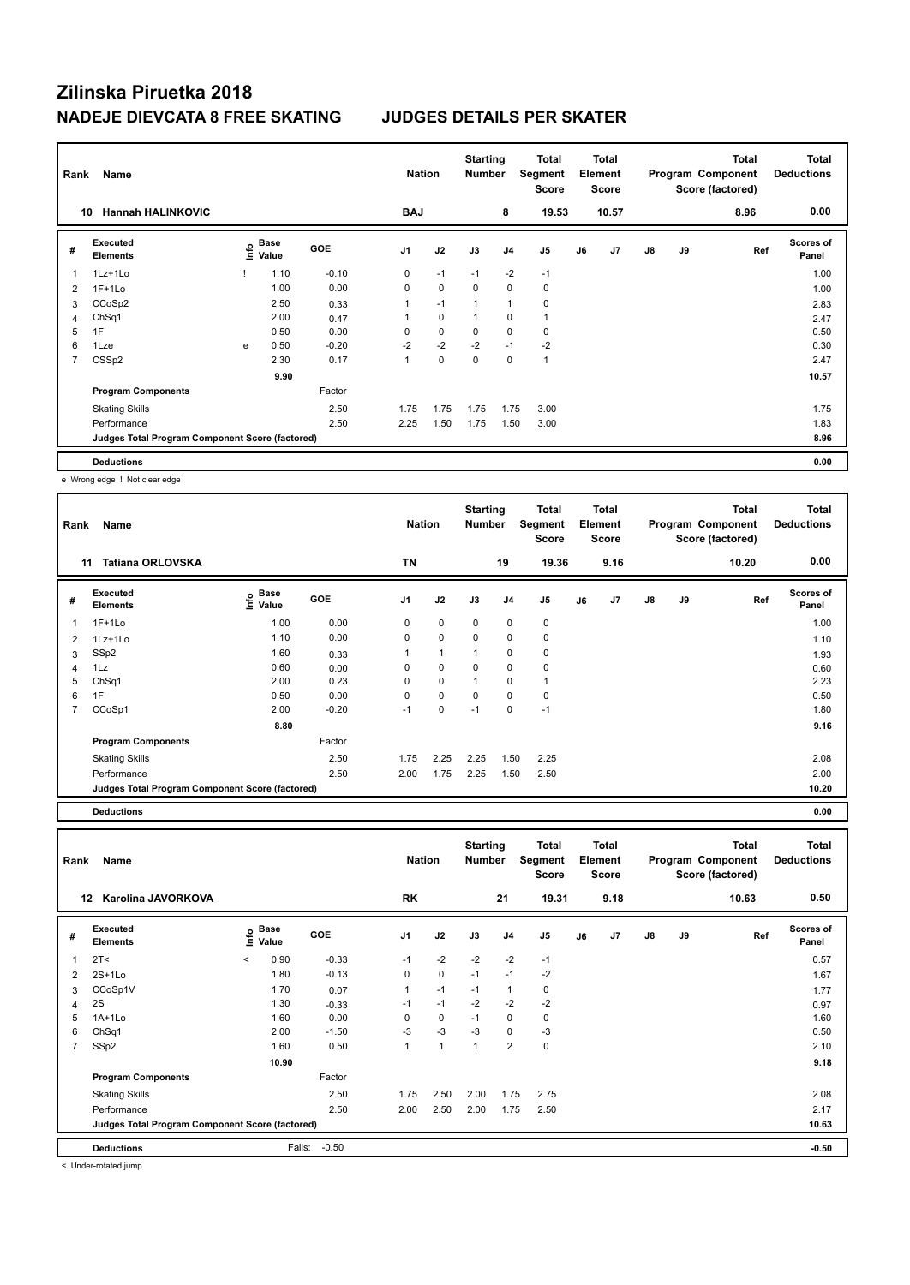| Rank           | Name                                            |      |               |            | <b>Nation</b>  |             | <b>Starting</b><br><b>Number</b> |                | Total<br>Segment<br>Score |    | <b>Total</b><br>Element<br><b>Score</b> |    |    | <b>Total</b><br>Program Component<br>Score (factored) | <b>Total</b><br><b>Deductions</b> |
|----------------|-------------------------------------------------|------|---------------|------------|----------------|-------------|----------------------------------|----------------|---------------------------|----|-----------------------------------------|----|----|-------------------------------------------------------|-----------------------------------|
| 10             | <b>Hannah HALINKOVIC</b>                        |      |               |            | <b>BAJ</b>     |             |                                  | 8              | 19.53                     |    | 10.57                                   |    |    | 8.96                                                  | 0.00                              |
| #              | Executed<br><b>Elements</b>                     | ١nfo | Base<br>Value | <b>GOE</b> | J <sub>1</sub> | J2          | J3                               | J <sub>4</sub> | J5                        | J6 | J7                                      | J8 | J9 | Ref                                                   | <b>Scores of</b><br>Panel         |
| 1              | 1Lz+1Lo                                         |      | 1.10          | $-0.10$    | 0              | $-1$        | $-1$                             | $-2$           | $-1$                      |    |                                         |    |    |                                                       | 1.00                              |
| 2              | $1F+1Lo$                                        |      | 1.00          | 0.00       | 0              | $\mathbf 0$ | $\mathbf 0$                      | $\mathbf 0$    | $\pmb{0}$                 |    |                                         |    |    |                                                       | 1.00                              |
| 3              | CCoSp2                                          |      | 2.50          | 0.33       | 1              | $-1$        | $\overline{1}$                   | $\overline{1}$ | 0                         |    |                                         |    |    |                                                       | 2.83                              |
| $\overline{4}$ | ChSq1                                           |      | 2.00          | 0.47       | 1              | 0           | 1                                | 0              | $\mathbf{1}$              |    |                                         |    |    |                                                       | 2.47                              |
| 5              | 1F                                              |      | 0.50          | 0.00       | $\Omega$       | $\mathbf 0$ | 0                                | $\mathbf 0$    | 0                         |    |                                         |    |    |                                                       | 0.50                              |
| 6              | 1Lze                                            | e    | 0.50          | $-0.20$    | $-2$           | $-2$        | $-2$                             | $-1$           | $-2$                      |    |                                         |    |    |                                                       | 0.30                              |
| 7              | CSS <sub>p2</sub>                               |      | 2.30          | 0.17       | 1              | $\mathbf 0$ | 0                                | $\mathbf 0$    | $\mathbf{1}$              |    |                                         |    |    |                                                       | 2.47                              |
|                |                                                 |      | 9.90          |            |                |             |                                  |                |                           |    |                                         |    |    |                                                       | 10.57                             |
|                | <b>Program Components</b>                       |      |               | Factor     |                |             |                                  |                |                           |    |                                         |    |    |                                                       |                                   |
|                | <b>Skating Skills</b>                           |      |               | 2.50       | 1.75           | 1.75        | 1.75                             | 1.75           | 3.00                      |    |                                         |    |    |                                                       | 1.75                              |
|                | Performance                                     |      |               | 2.50       | 2.25           | 1.50        | 1.75                             | 1.50           | 3.00                      |    |                                         |    |    |                                                       | 1.83                              |
|                | Judges Total Program Component Score (factored) |      |               |            |                |             |                                  |                |                           |    |                                         |    |    |                                                       | 8.96                              |
|                | <b>Deductions</b>                               |      |               |            |                |             |                                  |                |                           |    |                                         |    |    |                                                       | 0.00                              |

e Wrong edge ! Not clear edge

| <b>Tatiana ORLOVSKA</b><br>11<br>Executed<br>#<br><b>Elements</b><br>$1F+1Lo$<br>$1Lz+1Lo$<br>2<br>SSp2<br>3<br>1Lz<br>4<br>ChSq1<br>5<br>1F<br>6<br>CCoSp1<br>7 | $\sum_{i=1}^{n}$ Base<br>1.00<br>1.10<br>1.60 | <b>GOE</b><br>0.00<br>0.00 | <b>TN</b><br>J <sub>1</sub><br>0<br>0 | J2<br>$\mathbf 0$<br>$\mathbf 0$ | J3<br>$\mathbf 0$<br>$\mathbf 0$ | 19<br>J <sub>4</sub><br>$\mathbf 0$<br>$\mathbf 0$ | 19.36<br>J <sub>5</sub><br>0<br>$\mathbf 0$ | J6 | 9.16<br>J7 | J8 | J9 | 10.20<br>Ref | 0.00<br><b>Scores of</b><br>Panel<br>1.00 |
|------------------------------------------------------------------------------------------------------------------------------------------------------------------|-----------------------------------------------|----------------------------|---------------------------------------|----------------------------------|----------------------------------|----------------------------------------------------|---------------------------------------------|----|------------|----|----|--------------|-------------------------------------------|
|                                                                                                                                                                  |                                               |                            |                                       |                                  |                                  |                                                    |                                             |    |            |    |    |              |                                           |
|                                                                                                                                                                  |                                               |                            |                                       |                                  |                                  |                                                    |                                             |    |            |    |    |              |                                           |
|                                                                                                                                                                  |                                               |                            |                                       |                                  |                                  |                                                    |                                             |    |            |    |    |              |                                           |
|                                                                                                                                                                  |                                               |                            |                                       |                                  |                                  |                                                    |                                             |    |            |    |    |              | 1.10                                      |
|                                                                                                                                                                  |                                               | 0.33                       |                                       | $\overline{1}$                   |                                  | 0                                                  | $\mathbf 0$                                 |    |            |    |    |              | 1.93                                      |
|                                                                                                                                                                  | 0.60                                          | 0.00                       | 0                                     | 0                                | $\Omega$                         | $\mathbf 0$                                        | $\mathbf 0$                                 |    |            |    |    |              | 0.60                                      |
|                                                                                                                                                                  | 2.00                                          | 0.23                       | 0                                     | 0                                |                                  | 0                                                  | $\mathbf{1}$                                |    |            |    |    |              | 2.23                                      |
|                                                                                                                                                                  | 0.50                                          | 0.00                       | $\Omega$                              | $\mathbf 0$                      | $\Omega$                         | $\mathbf 0$                                        | $\mathbf 0$                                 |    |            |    |    |              | 0.50                                      |
|                                                                                                                                                                  | 2.00                                          | $-0.20$                    | $-1$                                  | 0                                | $-1$                             | $\mathbf 0$                                        | $-1$                                        |    |            |    |    |              | 1.80                                      |
|                                                                                                                                                                  | 8.80                                          |                            |                                       |                                  |                                  |                                                    |                                             |    |            |    |    |              | 9.16                                      |
| <b>Program Components</b>                                                                                                                                        |                                               | Factor                     |                                       |                                  |                                  |                                                    |                                             |    |            |    |    |              |                                           |
| <b>Skating Skills</b>                                                                                                                                            |                                               | 2.50                       | 1.75                                  | 2.25                             | 2.25                             | 1.50                                               | 2.25                                        |    |            |    |    |              | 2.08                                      |
| Performance                                                                                                                                                      |                                               | 2.50                       | 2.00                                  | 1.75                             | 2.25                             | 1.50                                               | 2.50                                        |    |            |    |    |              | 2.00                                      |
| Judges Total Program Component Score (factored)                                                                                                                  |                                               |                            |                                       |                                  |                                  |                                                    |                                             |    |            |    |    |              | 10.20                                     |

**Deductions 0.00**

| Rank           | Name                                            |              |               |            |      | <b>Nation</b>  | <b>Starting</b><br><b>Number</b> |      | Total<br>Segment<br><b>Score</b> |    | <b>Total</b><br>Element<br><b>Score</b> |               |    | <b>Total</b><br>Program Component<br>Score (factored) | <b>Total</b><br><b>Deductions</b> |
|----------------|-------------------------------------------------|--------------|---------------|------------|------|----------------|----------------------------------|------|----------------------------------|----|-----------------------------------------|---------------|----|-------------------------------------------------------|-----------------------------------|
| 12             | Karolina JAVORKOVA                              |              |               |            | RK   |                |                                  | 21   | 19.31                            |    | 9.18                                    |               |    | 10.63                                                 | 0.50                              |
| #              | Executed<br><b>Elements</b>                     | lnfo         | Base<br>Value | <b>GOE</b> | J1   | J2             | J3                               | J4   | J <sub>5</sub>                   | J6 | J7                                      | $\mathsf{J}8$ | J9 | Ref                                                   | <b>Scores of</b><br>Panel         |
| $\overline{1}$ | 2T <                                            | $\checkmark$ | 0.90          | $-0.33$    | $-1$ | $-2$           | $-2$                             | $-2$ | $-1$                             |    |                                         |               |    |                                                       | 0.57                              |
| $\overline{2}$ | $2S+1Lo$                                        |              | 1.80          | $-0.13$    | 0    | 0              | $-1$                             | $-1$ | $-2$                             |    |                                         |               |    |                                                       | 1.67                              |
| 3              | CCoSp1V                                         |              | 1.70          | 0.07       | 1    | $-1$           | $-1$                             | 1    | 0                                |    |                                         |               |    |                                                       | 1.77                              |
| 4              | 2S                                              |              | 1.30          | $-0.33$    | $-1$ | $-1$           | $-2$                             | $-2$ | $-2$                             |    |                                         |               |    |                                                       | 0.97                              |
| 5              | $1A+1Lo$                                        |              | 1.60          | 0.00       | 0    | 0              | $-1$                             | 0    | 0                                |    |                                         |               |    |                                                       | 1.60                              |
| 6              | Ch <sub>Sq1</sub>                               |              | 2.00          | $-1.50$    | $-3$ | $-3$           | $-3$                             | 0    | $-3$                             |    |                                         |               |    |                                                       | 0.50                              |
| $\overline{7}$ | SSp2                                            |              | 1.60          | 0.50       | 1    | $\overline{1}$ | 1                                | 2    | $\mathbf 0$                      |    |                                         |               |    |                                                       | 2.10                              |
|                |                                                 |              | 10.90         |            |      |                |                                  |      |                                  |    |                                         |               |    |                                                       | 9.18                              |
|                | <b>Program Components</b>                       |              |               | Factor     |      |                |                                  |      |                                  |    |                                         |               |    |                                                       |                                   |
|                | <b>Skating Skills</b>                           |              |               | 2.50       | 1.75 | 2.50           | 2.00                             | 1.75 | 2.75                             |    |                                         |               |    |                                                       | 2.08                              |
|                | Performance                                     |              |               | 2.50       | 2.00 | 2.50           | 2.00                             | 1.75 | 2.50                             |    |                                         |               |    |                                                       | 2.17                              |
|                | Judges Total Program Component Score (factored) |              |               |            |      |                |                                  |      |                                  |    |                                         |               |    |                                                       | 10.63                             |
|                | <b>Deductions</b>                               |              | Falls:        | $-0.50$    |      |                |                                  |      |                                  |    |                                         |               |    |                                                       | $-0.50$                           |

< Under-rotated jump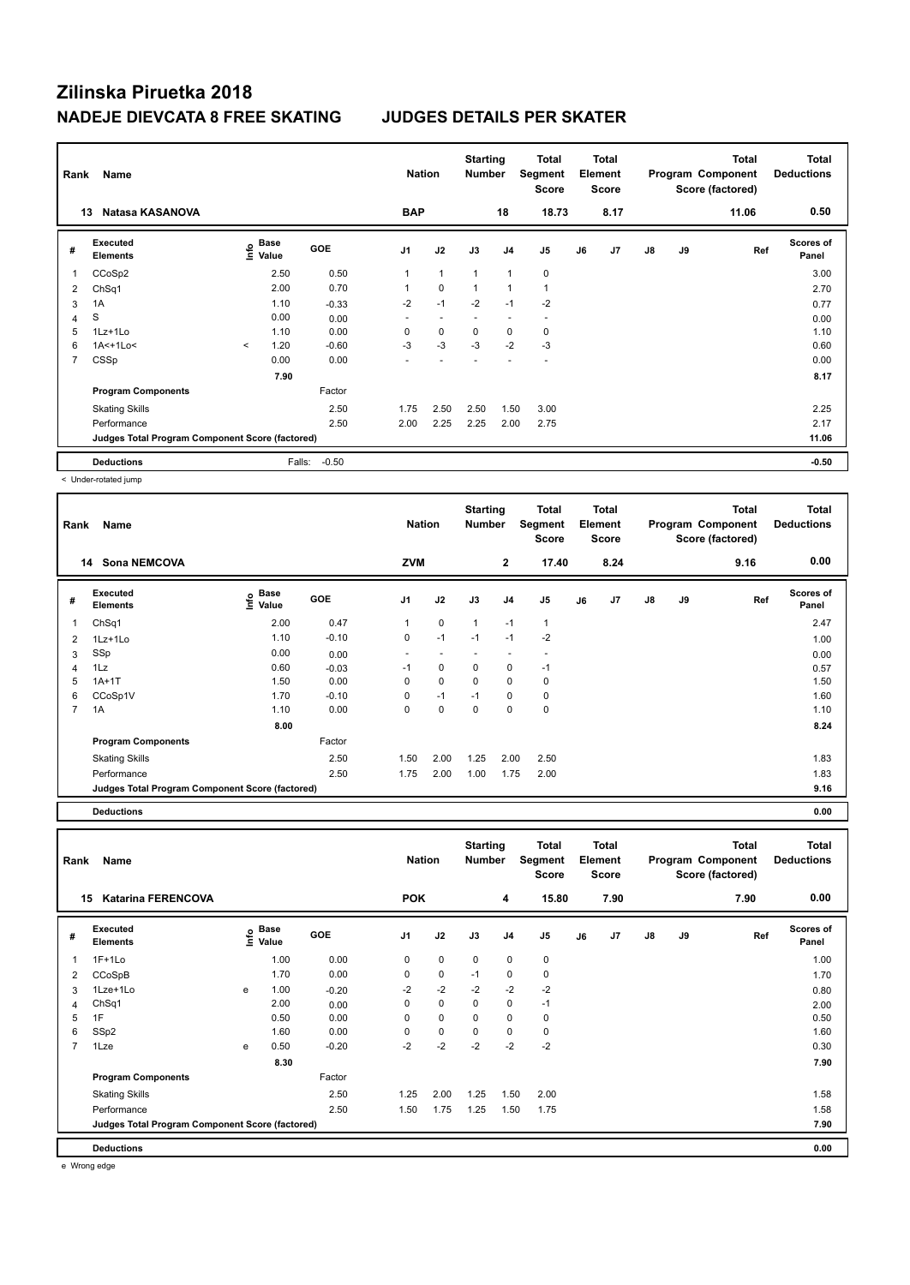| Rank | Name                                            |         |                           |            |                          | <b>Nation</b> | <b>Starting</b><br><b>Number</b> |                | Total<br>Segment<br><b>Score</b> |    | <b>Total</b><br>Element<br><b>Score</b> |               |    | <b>Total</b><br>Program Component<br>Score (factored) | <b>Total</b><br><b>Deductions</b> |
|------|-------------------------------------------------|---------|---------------------------|------------|--------------------------|---------------|----------------------------------|----------------|----------------------------------|----|-----------------------------------------|---------------|----|-------------------------------------------------------|-----------------------------------|
|      | Natasa KASANOVA<br>13                           |         |                           |            | <b>BAP</b>               |               |                                  | 18             | 18.73                            |    | 8.17                                    |               |    | 11.06                                                 | 0.50                              |
| #    | Executed<br><b>Elements</b>                     |         | Base<br>o Base<br>⊆ Value | <b>GOE</b> | J <sub>1</sub>           | J2            | J3                               | J <sub>4</sub> | J5                               | J6 | J7                                      | $\mathsf{J}8$ | J9 | Ref                                                   | <b>Scores of</b><br>Panel         |
| 1    | CCoSp2                                          |         | 2.50                      | 0.50       | 1                        | $\mathbf{1}$  | $\overline{1}$                   | $\overline{1}$ | $\pmb{0}$                        |    |                                         |               |    |                                                       | 3.00                              |
| 2    | ChSq1                                           |         | 2.00                      | 0.70       | 1                        | $\mathbf 0$   | 1                                | $\overline{1}$ | $\mathbf{1}$                     |    |                                         |               |    |                                                       | 2.70                              |
| 3    | 1A                                              |         | 1.10                      | $-0.33$    | $-2$                     | $-1$          | $-2$                             | $-1$           | $-2$                             |    |                                         |               |    |                                                       | 0.77                              |
| 4    | S                                               |         | 0.00                      | 0.00       | $\overline{\phantom{a}}$ |               |                                  |                | ٠                                |    |                                         |               |    |                                                       | 0.00                              |
| 5    | 1Lz+1Lo                                         |         | 1.10                      | 0.00       | 0                        | 0             | 0                                | 0              | 0                                |    |                                         |               |    |                                                       | 1.10                              |
| 6    | $1A<+1Lo<$                                      | $\prec$ | 1.20                      | $-0.60$    | $-3$                     | $-3$          | $-3$                             | $-2$           | $-3$                             |    |                                         |               |    |                                                       | 0.60                              |
| 7    | CSSp                                            |         | 0.00                      | 0.00       |                          |               |                                  |                | ٠                                |    |                                         |               |    |                                                       | 0.00                              |
|      |                                                 |         | 7.90                      |            |                          |               |                                  |                |                                  |    |                                         |               |    |                                                       | 8.17                              |
|      | <b>Program Components</b>                       |         |                           | Factor     |                          |               |                                  |                |                                  |    |                                         |               |    |                                                       |                                   |
|      | <b>Skating Skills</b>                           |         |                           | 2.50       | 1.75                     | 2.50          | 2.50                             | 1.50           | 3.00                             |    |                                         |               |    |                                                       | 2.25                              |
|      | Performance                                     |         |                           | 2.50       | 2.00                     | 2.25          | 2.25                             | 2.00           | 2.75                             |    |                                         |               |    |                                                       | 2.17                              |
|      | Judges Total Program Component Score (factored) |         |                           |            |                          |               |                                  |                |                                  |    |                                         |               |    |                                                       | 11.06                             |
|      | <b>Deductions</b>                               |         | Falls:                    | $-0.50$    |                          |               |                                  |                |                                  |    |                                         |               |    |                                                       | $-0.50$                           |

< Under-rotated jump

| Rank           | Name                                            |                              |            | <b>Nation</b>  |             | <b>Starting</b><br><b>Number</b> |                          | <b>Total</b><br>Segment<br><b>Score</b> |    | <b>Total</b><br>Element<br><b>Score</b> |               |    | <b>Total</b><br>Program Component<br>Score (factored) | <b>Total</b><br><b>Deductions</b> |
|----------------|-------------------------------------------------|------------------------------|------------|----------------|-------------|----------------------------------|--------------------------|-----------------------------------------|----|-----------------------------------------|---------------|----|-------------------------------------------------------|-----------------------------------|
|                | <b>Sona NEMCOVA</b><br>14                       |                              |            | <b>ZVM</b>     |             |                                  | $\overline{2}$           | 17.40                                   |    | 8.24                                    |               |    | 9.16                                                  | 0.00                              |
| #              | Executed<br><b>Elements</b>                     | <b>Base</b><br>Info<br>Value | <b>GOE</b> | J <sub>1</sub> | J2          | J3                               | J <sub>4</sub>           | J <sub>5</sub>                          | J6 | J7                                      | $\mathsf{J}8$ | J9 | Ref                                                   | <b>Scores of</b><br>Panel         |
|                | ChSq1                                           | 2.00                         | 0.47       | 1              | $\mathbf 0$ | 1                                | $-1$                     | $\mathbf{1}$                            |    |                                         |               |    |                                                       | 2.47                              |
| 2              | $1Lz+1Lo$                                       | 1.10                         | $-0.10$    | 0              | $-1$        | $-1$                             | $-1$                     | $-2$                                    |    |                                         |               |    |                                                       | 1.00                              |
| 3              | SSp                                             | 0.00                         | 0.00       |                |             |                                  | $\overline{\phantom{a}}$ |                                         |    |                                         |               |    |                                                       | 0.00                              |
| 4              | 1Lz                                             | 0.60                         | $-0.03$    | $-1$           | 0           | 0                                | 0                        | $-1$                                    |    |                                         |               |    |                                                       | 0.57                              |
| 5              | $1A+1T$                                         | 1.50                         | 0.00       | $\Omega$       | $\mathbf 0$ | $\mathbf 0$                      | 0                        | 0                                       |    |                                         |               |    |                                                       | 1.50                              |
| 6              | CCoSp1V                                         | 1.70                         | $-0.10$    | 0              | $-1$        | $-1$                             | 0                        | 0                                       |    |                                         |               |    |                                                       | 1.60                              |
| $\overline{7}$ | 1A                                              | 1.10                         | 0.00       | 0              | $\mathbf 0$ | $\mathbf 0$                      | $\mathbf 0$              | $\mathbf 0$                             |    |                                         |               |    |                                                       | 1.10                              |
|                |                                                 | 8.00                         |            |                |             |                                  |                          |                                         |    |                                         |               |    |                                                       | 8.24                              |
|                | <b>Program Components</b>                       |                              | Factor     |                |             |                                  |                          |                                         |    |                                         |               |    |                                                       |                                   |
|                | <b>Skating Skills</b>                           |                              | 2.50       | 1.50           | 2.00        | 1.25                             | 2.00                     | 2.50                                    |    |                                         |               |    |                                                       | 1.83                              |
|                | Performance                                     |                              | 2.50       | 1.75           | 2.00        | 1.00                             | 1.75                     | 2.00                                    |    |                                         |               |    |                                                       | 1.83                              |
|                | Judges Total Program Component Score (factored) |                              |            |                |             |                                  |                          |                                         |    |                                         |               |    |                                                       | 9.16                              |
|                | <b>Deductions</b>                               |                              |            |                |             |                                  |                          |                                         |    |                                         |               |    |                                                       | 0.00                              |

**Total Deductions Total Program Component Score (factored) Total Element Segment Score Total Score Starting Rank Name Nation Number # Executed Elements Base Value GOE J1 J2 J3 J4 J5 J6 J7 J8 J9 Scores of Panel** 1 1.00 0.00 0 0 0 0 0 **Ref**  1F+1Lo 1.00 **Info 15 Katarina FERENCOVA POK 4 15.80 7.90 7.90 0.00** 2 CCoSpB 1.70 0.00 0 0 -1 0 0 1.70 3 1Lze+1Lo e 1.00 -0.20 -2 -2 -2 -2 -2 0.80 4 ChSq1 2.00 0.00 0 0 0 0 -1 2.00 5 1F 0.50 0.00 0 0 0 0 0 0.50 6 SSp2 1.60 0.00 0 0 0 0 0 1.60 7 1Lze e 0.50 -0.20 -2 -2 -2 -2 -2 0.30  **8.30 7.90 Program Components**  Skating Skills **1.25 2.00** 1.25 2.00 1.25 1.50 2.00 Factor 2.50 1.25 2.00 1.25 1.50 2.00 2.00 1.58 1.58 1.58 Performance 2.50 1.50 1.75 1.25 1.50 1.75 1.58 **Deductions 0.00 Judges Total Program Component Score (factored) 7.90**

e Wrong edge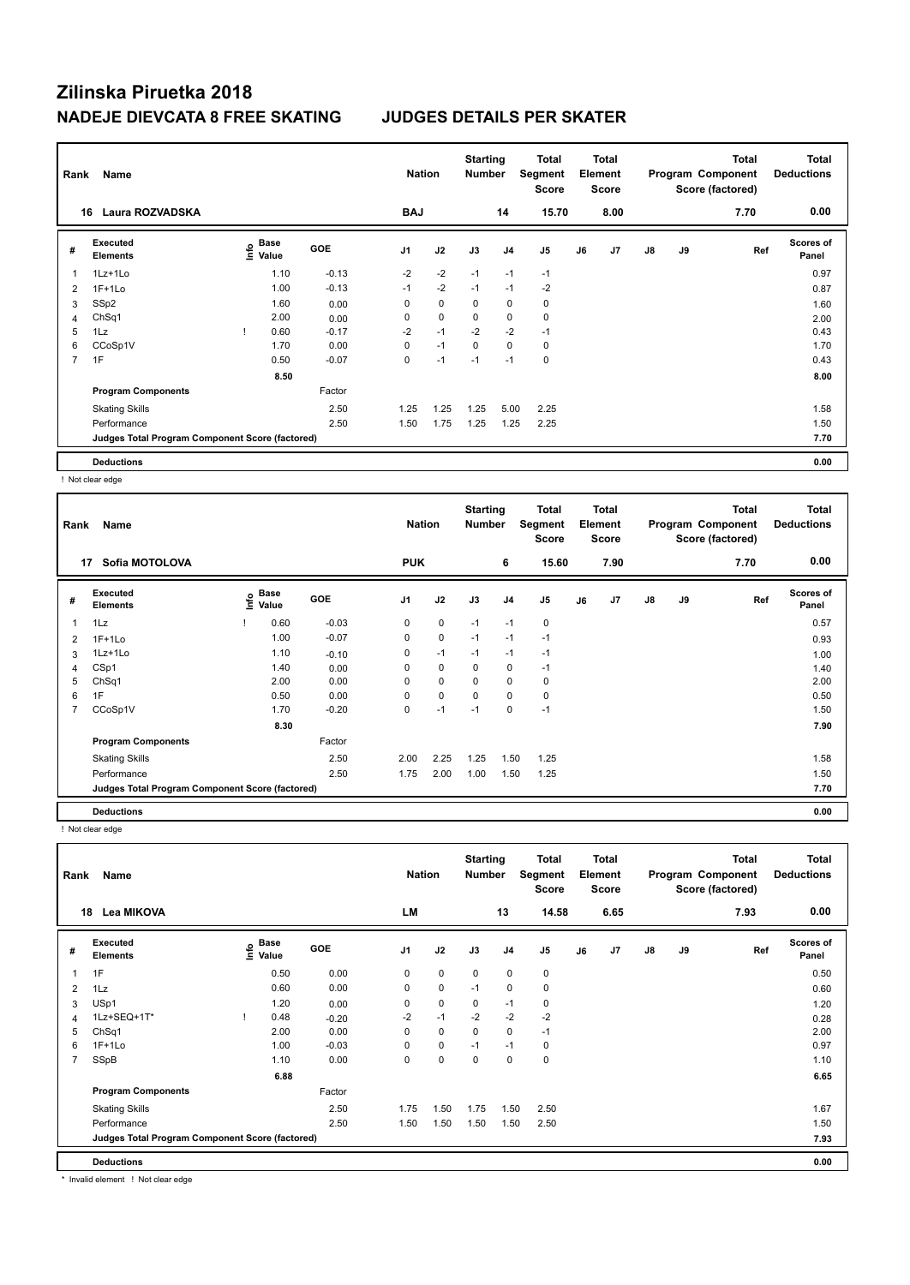| Rank           | Name                                            |                                  |            | <b>Nation</b>  |             | <b>Starting</b><br><b>Number</b> |                | Total<br>Segment<br><b>Score</b> |    | <b>Total</b><br>Element<br><b>Score</b> |               |    | Total<br>Program Component<br>Score (factored) | <b>Total</b><br><b>Deductions</b> |
|----------------|-------------------------------------------------|----------------------------------|------------|----------------|-------------|----------------------------------|----------------|----------------------------------|----|-----------------------------------------|---------------|----|------------------------------------------------|-----------------------------------|
| 16             | Laura ROZVADSKA                                 |                                  |            | <b>BAJ</b>     |             |                                  | 14             | 15.70                            |    | 8.00                                    |               |    | 7.70                                           | 0.00                              |
| #              | Executed<br><b>Elements</b>                     | <b>Base</b><br>o Base<br>⊆ Value | <b>GOE</b> | J <sub>1</sub> | J2          | J3                               | J <sub>4</sub> | J5                               | J6 | J7                                      | $\mathsf{J}8$ | J9 | Ref                                            | <b>Scores of</b><br>Panel         |
| 1              | $1Lz+1Lo$                                       | 1.10                             | $-0.13$    | $-2$           | $-2$        | $-1$                             | $-1$           | $-1$                             |    |                                         |               |    |                                                | 0.97                              |
| 2              | $1F+1Lo$                                        | 1.00                             | $-0.13$    | $-1$           | $-2$        | $-1$                             | $-1$           | $-2$                             |    |                                         |               |    |                                                | 0.87                              |
| 3              | SSp2                                            | 1.60                             | 0.00       | 0              | $\mathbf 0$ | 0                                | 0              | 0                                |    |                                         |               |    |                                                | 1.60                              |
| 4              | Ch <sub>Sq1</sub>                               | 2.00                             | 0.00       | 0              | $\mathbf 0$ | 0                                | 0              | 0                                |    |                                         |               |    |                                                | 2.00                              |
| 5              | 1Lz                                             | 0.60                             | $-0.17$    | $-2$           | $-1$        | $-2$                             | $-2$           | $-1$                             |    |                                         |               |    |                                                | 0.43                              |
| 6              | CCoSp1V                                         | 1.70                             | 0.00       | 0              | $-1$        | $\mathbf 0$                      | $\mathbf 0$    | 0                                |    |                                         |               |    |                                                | 1.70                              |
| $\overline{7}$ | 1F                                              | 0.50                             | $-0.07$    | 0              | $-1$        | $-1$                             | $-1$           | $\mathbf 0$                      |    |                                         |               |    |                                                | 0.43                              |
|                |                                                 | 8.50                             |            |                |             |                                  |                |                                  |    |                                         |               |    |                                                | 8.00                              |
|                | <b>Program Components</b>                       |                                  | Factor     |                |             |                                  |                |                                  |    |                                         |               |    |                                                |                                   |
|                | <b>Skating Skills</b>                           |                                  | 2.50       | 1.25           | 1.25        | 1.25                             | 5.00           | 2.25                             |    |                                         |               |    |                                                | 1.58                              |
|                | Performance                                     |                                  | 2.50       | 1.50           | 1.75        | 1.25                             | 1.25           | 2.25                             |    |                                         |               |    |                                                | 1.50                              |
|                | Judges Total Program Component Score (factored) |                                  |            |                |             |                                  |                |                                  |    |                                         |               |    |                                                | 7.70                              |
|                | <b>Deductions</b>                               |                                  |            |                |             |                                  |                |                                  |    |                                         |               |    |                                                | 0.00                              |

! Not clear edge

| Rank         | Name                                            |      |               |            | <b>Nation</b>  |             | <b>Starting</b><br><b>Number</b> |                | <b>Total</b><br>Segment<br><b>Score</b> |    | Total<br>Element<br><b>Score</b> |               |    | <b>Total</b><br>Program Component<br>Score (factored) | <b>Total</b><br><b>Deductions</b> |
|--------------|-------------------------------------------------|------|---------------|------------|----------------|-------------|----------------------------------|----------------|-----------------------------------------|----|----------------------------------|---------------|----|-------------------------------------------------------|-----------------------------------|
|              | Sofia MOTOLOVA<br>17                            |      |               |            | <b>PUK</b>     |             |                                  | 6              | 15.60                                   |    | 7.90                             |               |    | 7.70                                                  | 0.00                              |
| #            | <b>Executed</b><br><b>Elements</b>              | lnfo | Base<br>Value | <b>GOE</b> | J <sub>1</sub> | J2          | J3                               | J <sub>4</sub> | J5                                      | J6 | J7                               | $\mathsf{J}8$ | J9 | Ref                                                   | <b>Scores of</b><br>Panel         |
| $\mathbf{1}$ | 1Lz                                             |      | 0.60          | $-0.03$    | 0              | $\pmb{0}$   | $-1$                             | $-1$           | 0                                       |    |                                  |               |    |                                                       | 0.57                              |
| 2            | $1F+1Lo$                                        |      | 1.00          | $-0.07$    | 0              | 0           | $-1$                             | $-1$           | $-1$                                    |    |                                  |               |    |                                                       | 0.93                              |
| 3            | $1Lz+1Lo$                                       |      | 1.10          | $-0.10$    | 0              | $-1$        | $-1$                             | $-1$           | $-1$                                    |    |                                  |               |    |                                                       | 1.00                              |
| 4            | CSp1                                            |      | 1.40          | 0.00       | 0              | $\mathbf 0$ | 0                                | 0              | $-1$                                    |    |                                  |               |    |                                                       | 1.40                              |
| 5            | Ch <sub>Sq1</sub>                               |      | 2.00          | 0.00       | 0              | 0           | $\Omega$                         | 0              | 0                                       |    |                                  |               |    |                                                       | 2.00                              |
| 6            | 1F                                              |      | 0.50          | 0.00       | 0              | 0           | 0                                | 0              | 0                                       |    |                                  |               |    |                                                       | 0.50                              |
| 7            | CCoSp1V                                         |      | 1.70          | $-0.20$    | 0              | $-1$        | $-1$                             | 0              | $-1$                                    |    |                                  |               |    |                                                       | 1.50                              |
|              |                                                 |      | 8.30          |            |                |             |                                  |                |                                         |    |                                  |               |    |                                                       | 7.90                              |
|              | <b>Program Components</b>                       |      |               | Factor     |                |             |                                  |                |                                         |    |                                  |               |    |                                                       |                                   |
|              | <b>Skating Skills</b>                           |      |               | 2.50       | 2.00           | 2.25        | 1.25                             | 1.50           | 1.25                                    |    |                                  |               |    |                                                       | 1.58                              |
|              | Performance                                     |      |               | 2.50       | 1.75           | 2.00        | 1.00                             | 1.50           | 1.25                                    |    |                                  |               |    |                                                       | 1.50                              |
|              | Judges Total Program Component Score (factored) |      |               |            |                |             |                                  |                |                                         |    |                                  |               |    |                                                       | 7.70                              |
|              | <b>Deductions</b>                               |      |               |            |                |             |                                  |                |                                         |    |                                  |               |    |                                                       | 0.00                              |

! Not clear edge

| Rank           | Name                                            |      | <b>Nation</b>        |            | <b>Starting</b><br><b>Number</b> | Total<br>Segment<br><b>Score</b> | <b>Total</b><br>Element<br><b>Score</b> |                | Program Component |    | Total<br>Score (factored) | Total<br><b>Deductions</b> |    |      |                           |
|----------------|-------------------------------------------------|------|----------------------|------------|----------------------------------|----------------------------------|-----------------------------------------|----------------|-------------------|----|---------------------------|----------------------------|----|------|---------------------------|
| 18             | Lea MIKOVA                                      |      |                      |            | LM                               |                                  |                                         | 13             | 14.58             |    | 6.65                      |                            |    | 7.93 | 0.00                      |
| #              | <b>Executed</b><br><b>Elements</b>              | Info | <b>Base</b><br>Value | <b>GOE</b> | J <sub>1</sub>                   | J2                               | J3                                      | J <sub>4</sub> | J <sub>5</sub>    | J6 | J7                        | $\mathsf{J}8$              | J9 | Ref  | <b>Scores of</b><br>Panel |
| $\overline{1}$ | 1F                                              |      | 0.50                 | 0.00       | 0                                | $\mathbf 0$                      | $\mathbf 0$                             | $\mathbf 0$    | 0                 |    |                           |                            |    |      | 0.50                      |
| 2              | 1Lz                                             |      | 0.60                 | 0.00       | 0                                | 0                                | $-1$                                    | $\mathbf 0$    | $\mathbf 0$       |    |                           |                            |    |      | 0.60                      |
| 3              | USp1                                            |      | 1.20                 | 0.00       | 0                                | $\pmb{0}$                        | 0                                       | $-1$           | 0                 |    |                           |                            |    |      | 1.20                      |
| 4              | 1Lz+SEQ+1T*                                     |      | 0.48                 | $-0.20$    | $-2$                             | $-1$                             | $-2$                                    | $-2$           | $-2$              |    |                           |                            |    |      | 0.28                      |
| 5              | ChSq1                                           |      | 2.00                 | 0.00       | 0                                | $\pmb{0}$                        | $\mathbf 0$                             | $\mathbf 0$    | $-1$              |    |                           |                            |    |      | 2.00                      |
| 6              | $1F+1Lo$                                        |      | 1.00                 | $-0.03$    | 0                                | $\mathbf 0$                      | $-1$                                    | $-1$           | 0                 |    |                           |                            |    |      | 0.97                      |
| $\overline{7}$ | SSpB                                            |      | 1.10                 | 0.00       | 0                                | $\mathbf 0$                      | 0                                       | 0              | $\mathbf 0$       |    |                           |                            |    |      | 1.10                      |
|                |                                                 |      | 6.88                 |            |                                  |                                  |                                         |                |                   |    |                           |                            |    |      | 6.65                      |
|                | <b>Program Components</b>                       |      |                      | Factor     |                                  |                                  |                                         |                |                   |    |                           |                            |    |      |                           |
|                | <b>Skating Skills</b>                           |      |                      | 2.50       | 1.75                             | 1.50                             | 1.75                                    | 1.50           | 2.50              |    |                           |                            |    |      | 1.67                      |
|                | Performance                                     |      |                      | 2.50       | 1.50                             | 1.50                             | 1.50                                    | 1.50           | 2.50              |    |                           |                            |    |      | 1.50                      |
|                | Judges Total Program Component Score (factored) |      |                      |            |                                  |                                  |                                         |                |                   |    |                           |                            |    |      | 7.93                      |
|                | <b>Deductions</b>                               |      |                      |            |                                  |                                  |                                         |                |                   |    |                           |                            |    |      | 0.00                      |

\* Invalid element ! Not clear edge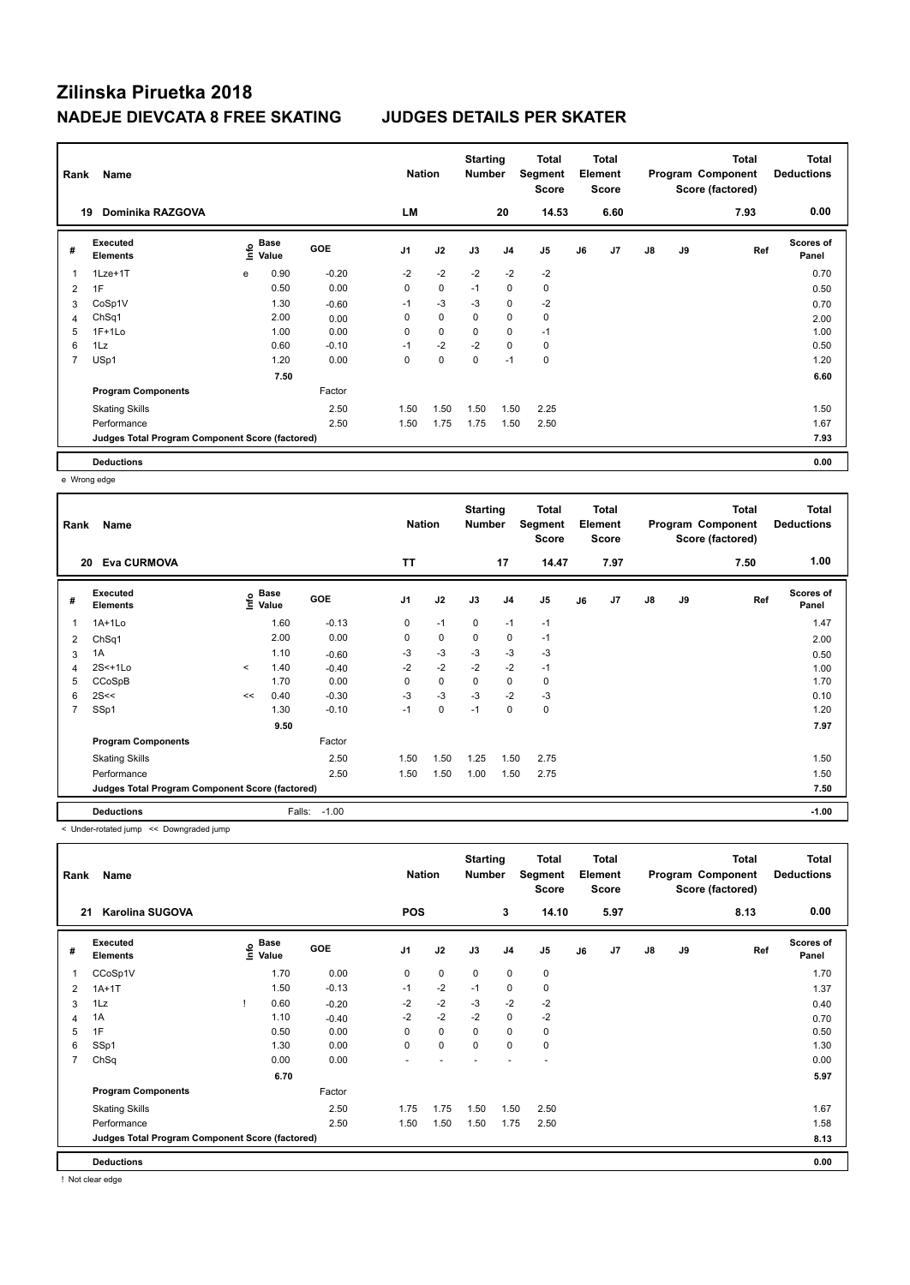| Rank | Name                                            |      |               |         | <b>Nation</b>  |             | <b>Starting</b><br><b>Number</b> |                | Total<br>Segment<br><b>Score</b> |    | <b>Total</b><br>Element<br><b>Score</b> |               |    | <b>Total</b><br>Program Component<br>Score (factored) | <b>Total</b><br><b>Deductions</b> |
|------|-------------------------------------------------|------|---------------|---------|----------------|-------------|----------------------------------|----------------|----------------------------------|----|-----------------------------------------|---------------|----|-------------------------------------------------------|-----------------------------------|
|      | Dominika RAZGOVA<br>19                          |      |               |         | LM             |             |                                  | 20             | 14.53                            |    | 6.60                                    |               |    | 7.93                                                  | 0.00                              |
| #    | Executed<br><b>Elements</b>                     | ١nfo | Base<br>Value | GOE     | J <sub>1</sub> | J2          | J3                               | J <sub>4</sub> | J5                               | J6 | J7                                      | $\mathsf{J}8$ | J9 | Ref                                                   | <b>Scores of</b><br>Panel         |
| 1    | 1Lze+1T                                         | e    | 0.90          | $-0.20$ | $-2$           | $-2$        | $-2$                             | $-2$           | $-2$                             |    |                                         |               |    |                                                       | 0.70                              |
| 2    | 1F                                              |      | 0.50          | 0.00    | $\mathbf 0$    | $\mathbf 0$ | $-1$                             | $\mathbf 0$    | $\mathbf 0$                      |    |                                         |               |    |                                                       | 0.50                              |
| 3    | CoSp1V                                          |      | 1.30          | $-0.60$ | $-1$           | $-3$        | $-3$                             | 0              | $-2$                             |    |                                         |               |    |                                                       | 0.70                              |
| 4    | Ch <sub>Sq1</sub>                               |      | 2.00          | 0.00    | 0              | $\mathbf 0$ | 0                                | 0              | 0                                |    |                                         |               |    |                                                       | 2.00                              |
| 5    | $1F+1Lo$                                        |      | 1.00          | 0.00    | 0              | $\mathbf 0$ | 0                                | $\mathbf 0$    | $-1$                             |    |                                         |               |    |                                                       | 1.00                              |
| 6    | 1Lz                                             |      | 0.60          | $-0.10$ | $-1$           | $-2$        | $-2$                             | $\mathbf 0$    | 0                                |    |                                         |               |    |                                                       | 0.50                              |
| 7    | USp1                                            |      | 1.20          | 0.00    | 0              | $\mathbf 0$ | 0                                | $-1$           | $\mathbf 0$                      |    |                                         |               |    |                                                       | 1.20                              |
|      |                                                 |      | 7.50          |         |                |             |                                  |                |                                  |    |                                         |               |    |                                                       | 6.60                              |
|      | <b>Program Components</b>                       |      |               | Factor  |                |             |                                  |                |                                  |    |                                         |               |    |                                                       |                                   |
|      | <b>Skating Skills</b>                           |      |               | 2.50    | 1.50           | 1.50        | 1.50                             | 1.50           | 2.25                             |    |                                         |               |    |                                                       | 1.50                              |
|      | Performance                                     |      |               | 2.50    | 1.50           | 1.75        | 1.75                             | 1.50           | 2.50                             |    |                                         |               |    |                                                       | 1.67                              |
|      | Judges Total Program Component Score (factored) |      |               |         |                |             |                                  |                |                                  |    |                                         |               |    |                                                       | 7.93                              |
|      | <b>Deductions</b>                               |      |               |         |                |             |                                  |                |                                  |    |                                         |               |    |                                                       | 0.00                              |

e Wrong edge

| Rank           | Name                                            |                       |        |            | <b>Nation</b>  |             | <b>Starting</b><br><b>Number</b> |                | <b>Total</b><br>Segment<br><b>Score</b> |    | Total<br>Element<br><b>Score</b> |    |    | <b>Total</b><br>Program Component<br>Score (factored) | <b>Total</b><br><b>Deductions</b> |
|----------------|-------------------------------------------------|-----------------------|--------|------------|----------------|-------------|----------------------------------|----------------|-----------------------------------------|----|----------------------------------|----|----|-------------------------------------------------------|-----------------------------------|
|                | <b>Eva CURMOVA</b><br>20                        |                       |        |            | TT             |             |                                  | 17             | 14.47                                   |    | 7.97                             |    |    | 7.50                                                  | 1.00                              |
| #              | Executed<br><b>Elements</b>                     | $\sum_{i=1}^{n}$ Base |        | <b>GOE</b> | J <sub>1</sub> | J2          | J3                               | J <sub>4</sub> | J5                                      | J6 | J7                               | J8 | J9 | Ref                                                   | <b>Scores of</b><br>Panel         |
| 1              | $1A+1Lo$                                        |                       | 1.60   | $-0.13$    | 0              | $-1$        | $\mathbf 0$                      | $-1$           | $-1$                                    |    |                                  |    |    |                                                       | 1.47                              |
| 2              | ChSq1                                           |                       | 2.00   | 0.00       | 0              | $\mathbf 0$ | $\mathbf 0$                      | 0              | $-1$                                    |    |                                  |    |    |                                                       | 2.00                              |
| 3              | 1A                                              |                       | 1.10   | $-0.60$    | $-3$           | $-3$        | $-3$                             | $-3$           | $-3$                                    |    |                                  |    |    |                                                       | 0.50                              |
| 4              | 2S<+1Lo                                         | $\prec$               | 1.40   | $-0.40$    | $-2$           | $-2$        | $-2$                             | $-2$           | $-1$                                    |    |                                  |    |    |                                                       | 1.00                              |
| 5              | CCoSpB                                          |                       | 1.70   | 0.00       | 0              | $\mathbf 0$ | 0                                | $\mathbf 0$    | 0                                       |    |                                  |    |    |                                                       | 1.70                              |
| 6              | 2S<<                                            | <<                    | 0.40   | $-0.30$    | $-3$           | $-3$        | $-3$                             | $-2$           | $-3$                                    |    |                                  |    |    |                                                       | 0.10                              |
| $\overline{7}$ | SSp1                                            |                       | 1.30   | $-0.10$    | $-1$           | $\mathbf 0$ | $-1$                             | $\mathbf 0$    | $\mathbf 0$                             |    |                                  |    |    |                                                       | 1.20                              |
|                |                                                 |                       | 9.50   |            |                |             |                                  |                |                                         |    |                                  |    |    |                                                       | 7.97                              |
|                | <b>Program Components</b>                       |                       |        | Factor     |                |             |                                  |                |                                         |    |                                  |    |    |                                                       |                                   |
|                | <b>Skating Skills</b>                           |                       |        | 2.50       | 1.50           | 1.50        | 1.25                             | 1.50           | 2.75                                    |    |                                  |    |    |                                                       | 1.50                              |
|                | Performance                                     |                       |        | 2.50       | 1.50           | 1.50        | 1.00                             | 1.50           | 2.75                                    |    |                                  |    |    |                                                       | 1.50                              |
|                | Judges Total Program Component Score (factored) |                       |        |            |                |             |                                  |                |                                         |    |                                  |    |    |                                                       | 7.50                              |
|                | <b>Deductions</b>                               |                       | Falls: | $-1.00$    |                |             |                                  |                |                                         |    |                                  |    |    |                                                       | $-1.00$                           |

< Under-rotated jump << Downgraded jump

| Rank           | Name                                            | <b>Nation</b>                    |            | <b>Starting</b><br><b>Number</b> |             | Total<br>Segment<br><b>Score</b> | <b>Total</b><br>Element<br><b>Score</b> |             | Program Component |      | <b>Total</b><br>Score (factored) | <b>Total</b><br><b>Deductions</b> |      |                           |
|----------------|-------------------------------------------------|----------------------------------|------------|----------------------------------|-------------|----------------------------------|-----------------------------------------|-------------|-------------------|------|----------------------------------|-----------------------------------|------|---------------------------|
| 21             | Karolina SUGOVA                                 |                                  |            | <b>POS</b>                       |             |                                  | 3                                       | 14.10       |                   | 5.97 |                                  |                                   | 8.13 | 0.00                      |
| #              | <b>Executed</b><br><b>Elements</b>              | <b>Base</b><br>e Base<br>⊆ Value | <b>GOE</b> | J <sub>1</sub>                   | J2          | J3                               | J <sub>4</sub>                          | J5          | J6                | J7   | $\mathsf{J}8$                    | J9                                | Ref  | <b>Scores of</b><br>Panel |
| 1              | CCoSp1V                                         | 1.70                             | 0.00       | 0                                | $\mathbf 0$ | $\mathbf 0$                      | $\mathbf 0$                             | $\mathbf 0$ |                   |      |                                  |                                   |      | 1.70                      |
| $\overline{2}$ | $1A+1T$                                         | 1.50                             | $-0.13$    | $-1$                             | $-2$        | $-1$                             | $\pmb{0}$                               | $\mathbf 0$ |                   |      |                                  |                                   |      | 1.37                      |
| 3              | 1Lz                                             | 0.60                             | $-0.20$    | $-2$                             | $-2$        | $-3$                             | $-2$                                    | $-2$        |                   |      |                                  |                                   |      | 0.40                      |
| 4              | 1A                                              | 1.10                             | $-0.40$    | $-2$                             | $-2$        | $-2$                             | 0                                       | $-2$        |                   |      |                                  |                                   |      | 0.70                      |
| 5              | 1F                                              | 0.50                             | 0.00       | 0                                | $\mathbf 0$ | $\mathbf 0$                      | $\mathbf 0$                             | $\pmb{0}$   |                   |      |                                  |                                   |      | 0.50                      |
| 6              | SSp1                                            | 1.30                             | 0.00       | 0                                | $\mathbf 0$ | $\mathbf 0$                      | $\mathbf 0$                             | $\mathbf 0$ |                   |      |                                  |                                   |      | 1.30                      |
| $\overline{7}$ | ChSq                                            | 0.00                             | 0.00       |                                  |             |                                  |                                         |             |                   |      |                                  |                                   |      | 0.00                      |
|                |                                                 | 6.70                             |            |                                  |             |                                  |                                         |             |                   |      |                                  |                                   |      | 5.97                      |
|                | <b>Program Components</b>                       |                                  | Factor     |                                  |             |                                  |                                         |             |                   |      |                                  |                                   |      |                           |
|                | <b>Skating Skills</b>                           |                                  | 2.50       | 1.75                             | 1.75        | 1.50                             | 1.50                                    | 2.50        |                   |      |                                  |                                   |      | 1.67                      |
|                | Performance                                     |                                  | 2.50       | 1.50                             | 1.50        | 1.50                             | 1.75                                    | 2.50        |                   |      |                                  |                                   |      | 1.58                      |
|                | Judges Total Program Component Score (factored) |                                  |            |                                  |             |                                  |                                         |             |                   |      |                                  |                                   |      | 8.13                      |
|                | <b>Deductions</b>                               |                                  |            |                                  |             |                                  |                                         |             |                   |      |                                  |                                   |      | 0.00                      |

! Not clear edge